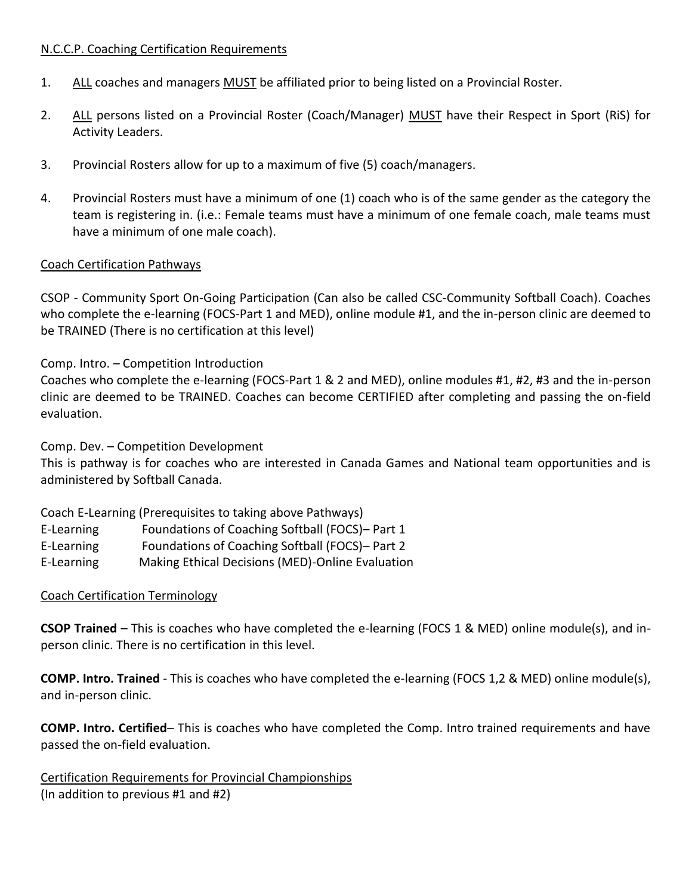## N.C.C.P. Coaching Certification Requirements

- 1. ALL coaches and managers MUST be affiliated prior to being listed on a Provincial Roster.
- 2. ALL persons listed on a Provincial Roster (Coach/Manager) MUST have their Respect in Sport (RiS) for Activity Leaders.
- 3. Provincial Rosters allow for up to a maximum of five (5) coach/managers.
- 4. Provincial Rosters must have a minimum of one (1) coach who is of the same gender as the category the team is registering in. (i.e.: Female teams must have a minimum of one female coach, male teams must have a minimum of one male coach).

## Coach Certification Pathways

CSOP - Community Sport On-Going Participation (Can also be called CSC-Community Softball Coach). Coaches who complete the e-learning (FOCS-Part 1 and MED), online module #1, and the in-person clinic are deemed to be TRAINED (There is no certification at this level)

Comp. Intro. – Competition Introduction

Coaches who complete the e-learning (FOCS-Part 1 & 2 and MED), online modules #1, #2, #3 and the in-person clinic are deemed to be TRAINED. Coaches can become CERTIFIED after completing and passing the on-field evaluation.

Comp. Dev. – Competition Development

This is pathway is for coaches who are interested in Canada Games and National team opportunities and is administered by Softball Canada.

Coach E-Learning (Prerequisites to taking above Pathways)

- E-Learning Foundations of Coaching Softball (FOCS)- Part 2
- E-Learning Making Ethical Decisions (MED)-Online Evaluation

## Coach Certification Terminology

**CSOP Trained** – This is coaches who have completed the e-learning (FOCS 1 & MED) online module(s), and inperson clinic. There is no certification in this level.

**COMP. Intro. Trained** - This is coaches who have completed the e-learning (FOCS 1,2 & MED) online module(s), and in-person clinic.

**COMP. Intro. Certified**– This is coaches who have completed the Comp. Intro trained requirements and have passed the on-field evaluation.

Certification Requirements for Provincial Championships (In addition to previous #1 and #2)